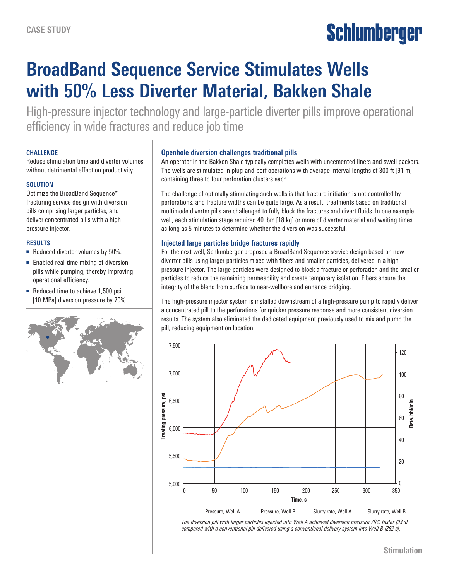# Schlumberger

# **BroadBand Sequence Service Stimulates Wells with 50% Less Diverter Material, Bakken Shale**

High-pressure injector technology and large-particle diverter pills improve operational efficiency in wide fractures and reduce job time

#### **CHALLENGE**

Reduce stimulation time and diverter volumes without detrimental effect on productivity.

# **SOLUTION**

Optimize the BroadBand Sequence\* fracturing service design with diversion pills comprising larger particles, and deliver concentrated pills with a highpressure injector.

# **RESULTS**

- Reduced diverter volumes by 50%.
- Enabled real-time mixing of diversion pills while pumping, thereby improving operational efficiency.
- Reduced time to achieve 1,500 psi [10 MPa] diversion pressure by 70%.



#### **Openhole diversion challenges traditional pills**

An operator in the Bakken Shale typically completes wells with uncemented liners and swell packers. The wells are stimulated in plug-and-perf operations with average interval lengths of 300 ft [91 m] containing three to four perforation clusters each.

The challenge of optimally stimulating such wells is that fracture initiation is not controlled by perforations, and fracture widths can be quite large. As a result, treatments based on traditional multimode diverter pills are challenged to fully block the fractures and divert fluids. In one example well, each stimulation stage required 40 lbm [18 kg] or more of diverter material and waiting times as long as 5 minutes to determine whether the diversion was successful.

# **Injected large particles bridge fractures rapidly**

For the next well, Schlumberger proposed a BroadBand Sequence service design based on new diverter pills using larger particles mixed with fibers and smaller particles, delivered in a highpressure injector. The large particles were designed to block a fracture or perforation and the smaller particles to reduce the remaining permeability and create temporary isolation. Fibers ensure the integrity of the blend from surface to near-wellbore and enhance bridging.

The high-pressure injector system is installed downstream of a high-pressure pump to rapidly deliver a concentrated pill to the perforations for quicker pressure response and more consistent diversion results. The system also eliminated the dedicated equipment previously used to mix and pump the pill, reducing equipment on location.



*The diversion pill with larger particles injected into Well A achieved diversion pressure 70% faster (93 s) compared with a conventional pill delivered using a conventional delivery system into Well B (282 s).*